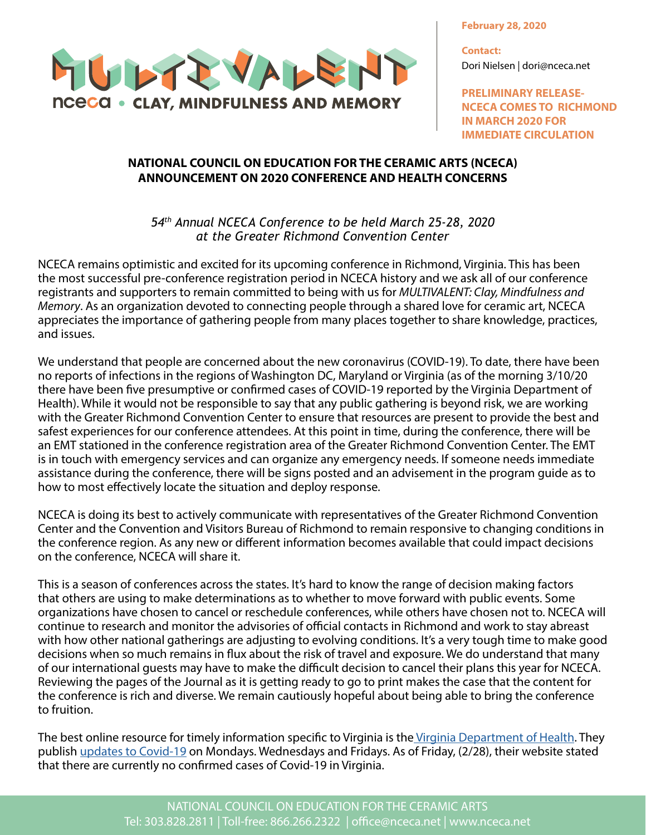MULTEVALENT **NCECA • CLAY, MINDFULNESS AND MEMORY** 

**February 28, 2020**

**Contact:** Dori Nielsen | dori@nceca.net

**PRELIMINARY RELEASE-NCECA COMES TO RICHMOND IN MARCH 2020 FOR IMMEDIATE CIRCULATION**

## **NATIONAL COUNCIL ON EDUCATION FOR THE CERAMIC ARTS (NCECA) ANNOUNCEMENT ON 2020 CONFERENCE AND HEALTH CONCERNS**

*54th Annual NCECA Conference to be held March 25-28, 2020 at the Greater Richmond Convention Center* 

NCECA remains optimistic and excited for its upcoming conference in Richmond, Virginia. This has been the most successful pre-conference registration period in NCECA history and we ask all of our conference registrants and supporters to remain committed to being with us for *MULTIVALENT: Clay, Mindfulness and Memory*. As an organization devoted to connecting people through a shared love for ceramic art, NCECA appreciates the importance of gathering people from many places together to share knowledge, practices, and issues.

We understand that people are concerned about the new coronavirus (COVID-19). To date, there have been no reports of infections in the regions of Washington DC, Maryland or Virginia (as of the morning 3/10/20 there have been five presumptive or confirmed cases of COVID-19 reported by the Virginia Department of Health). While it would not be responsible to say that any public gathering is beyond risk, we are working with the Greater Richmond Convention Center to ensure that resources are present to provide the best and safest experiences for our conference attendees. At this point in time, during the conference, there will be an EMT stationed in the conference registration area of the Greater Richmond Convention Center. The EMT is in touch with emergency services and can organize any emergency needs. If someone needs immediate assistance during the conference, there will be signs posted and an advisement in the program guide as to how to most effectively locate the situation and deploy response.

NCECA is doing its best to actively communicate with representatives of the Greater Richmond Convention Center and the Convention and Visitors Bureau of Richmond to remain responsive to changing conditions in the conference region. As any new or different information becomes available that could impact decisions on the conference, NCECA will share it.

This is a season of conferences across the states. It's hard to know the range of decision making factors that others are using to make determinations as to whether to move forward with public events. Some organizations have chosen to cancel or reschedule conferences, while others have chosen not to. NCECA will continue to research and monitor the advisories of official contacts in Richmond and work to stay abreast with how other national gatherings are adjusting to evolving conditions. It's a very tough time to make good decisions when so much remains in flux about the risk of travel and exposure. We do understand that many of our international guests may have to make the difficult decision to cancel their plans this year for NCECA. Reviewing the pages of the Journal as it is getting ready to go to print makes the case that the content for the conference is rich and diverse. We remain cautiously hopeful about being able to bring the conference to fruition.

The best online resource for timely information specific to Virginia is th[e Virginia Department of Health.](http://www.vdh.virginia.gov/) They publish [updates to Covid-19](http://www.vdh.virginia.gov/surveillance-and-investigation/novel-coronavirus/) on Mondays. Wednesdays and Fridays. As of Friday, (2/28), their website stated that there are currently no confirmed cases of Covid-19 in Virginia.